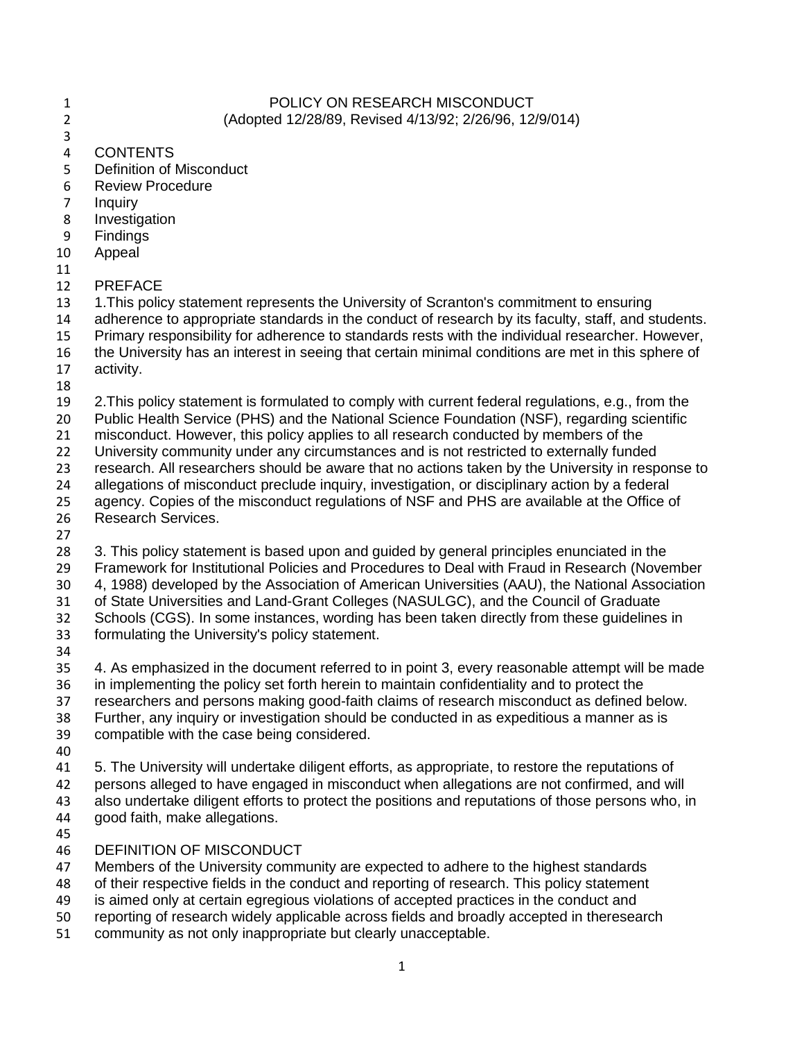## 1 POLICY ON RESEARCH MISCONDUCT (Adopted 12/28/89, Revised 4/13/92; 2/26/96, 12/9/014)

- 
- **CONTENTS**
- Definition of Misconduct
- Review Procedure
- Inquiry
- Investigation
- Findings
- Appeal
- 
- PREFACE
- 13 1.This policy statement represents the University of Scranton's commitment to ensuring
- adherence to appropriate standards in the conduct of research by its faculty, staff, and students.
- Primary responsibility for adherence to standards rests with the individual researcher. However,
- the University has an interest in seeing that certain minimal conditions are met in this sphere of
- activity.
- 
- 2.This policy statement is formulated to comply with current federal regulations, e.g., from the
- Public Health Service (PHS) and the National Science Foundation (NSF), regarding scientific
- misconduct. However, this policy applies to all research conducted by members of the
- University community under any circumstances and is not restricted to externally funded
- research. All researchers should be aware that no actions taken by the University in response to
- allegations of misconduct preclude inquiry, investigation, or disciplinary action by a federal
- agency. Copies of the misconduct regulations of NSF and PHS are available at the Office of Research Services.
- -
- 3. This policy statement is based upon and guided by general principles enunciated in the Framework for Institutional Policies and Procedures to Deal with Fraud in Research (November 4, 1988) developed by the Association of American Universities (AAU), the National Association
- of State Universities and Land-Grant Colleges (NASULGC), and the Council of Graduate
- Schools (CGS). In some instances, wording has been taken directly from these guidelines in
- formulating the University's policy statement.
- 
- 4. As emphasized in the document referred to in point 3, every reasonable attempt will be made in implementing the policy set forth herein to maintain confidentiality and to protect the researchers and persons making good-faith claims of research misconduct as defined below. Further, any inquiry or investigation should be conducted in as expeditious a manner as is
- compatible with the case being considered.
- 
- 5. The University will undertake diligent efforts, as appropriate, to restore the reputations of
- persons alleged to have engaged in misconduct when allegations are not confirmed, and will
- also undertake diligent efforts to protect the positions and reputations of those persons who, in good faith, make allegations.
- 
- DEFINITION OF MISCONDUCT
- Members of the University community are expected to adhere to the highest standards
- of their respective fields in the conduct and reporting of research. This policy statement
- is aimed only at certain egregious violations of accepted practices in the conduct and
- reporting of research widely applicable across fields and broadly accepted in theresearch
- community as not only inappropriate but clearly unacceptable.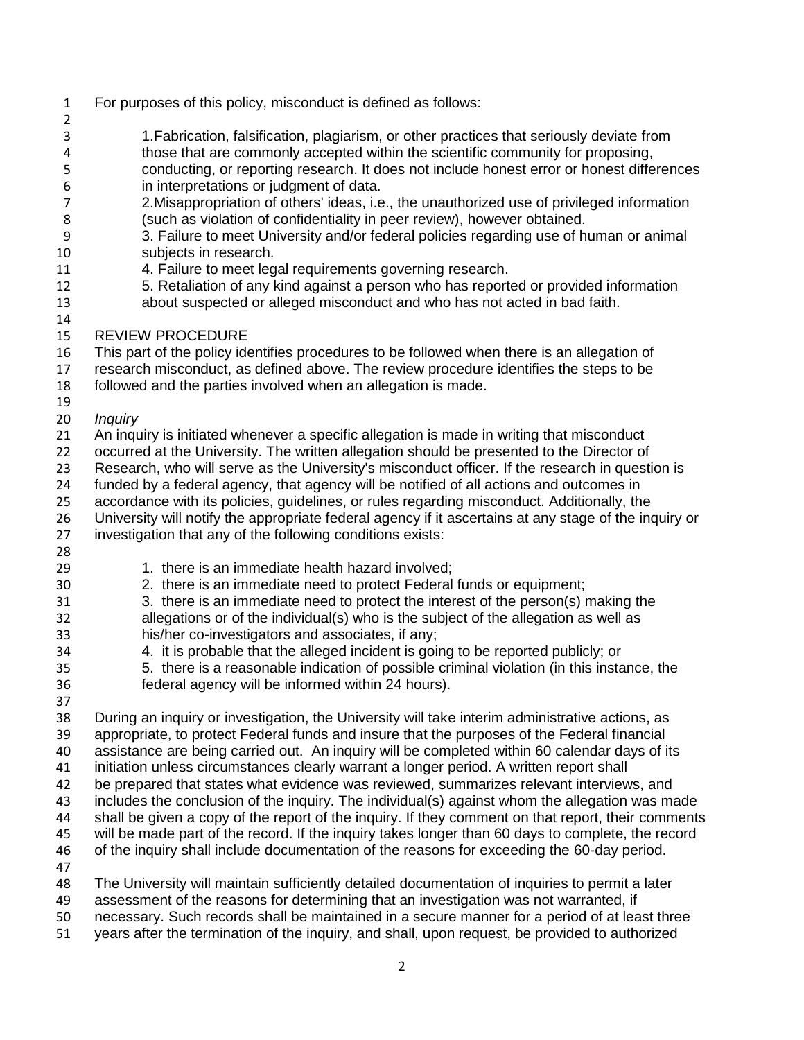- For purposes of this policy, misconduct is defined as follows:
- 1.Fabrication, falsification, plagiarism, or other practices that seriously deviate from those that are commonly accepted within the scientific community for proposing, conducting, or reporting research. It does not include honest error or honest differences
- in interpretations or judgment of data.
- 2.Misappropriation of others' ideas, i.e., the unauthorized use of privileged information (such as violation of confidentiality in peer review), however obtained.
- 3. Failure to meet University and/or federal policies regarding use of human or animal subjects in research.
- 4. Failure to meet legal requirements governing research.
- 5. Retaliation of any kind against a person who has reported or provided information about suspected or alleged misconduct and who has not acted in bad faith.
- 
- REVIEW PROCEDURE
- This part of the policy identifies procedures to be followed when there is an allegation of
- research misconduct, as defined above. The review procedure identifies the steps to be
- followed and the parties involved when an allegation is made.
- 
- *Inquiry*
- An inquiry is initiated whenever a specific allegation is made in writing that misconduct
- occurred at the University. The written allegation should be presented to the Director of
- Research, who will serve as the University's misconduct officer. If the research in question is
- funded by a federal agency, that agency will be notified of all actions and outcomes in
- accordance with its policies, guidelines, or rules regarding misconduct. Additionally, the
- University will notify the appropriate federal agency if it ascertains at any stage of the inquiry or investigation that any of the following conditions exists:
- 
- 1. there is an immediate health hazard involved;
- 2. there is an immediate need to protect Federal funds or equipment;
- 3. there is an immediate need to protect the interest of the person(s) making the allegations or of the individual(s) who is the subject of the allegation as well as his/her co-investigators and associates, if any;
- 4. it is probable that the alleged incident is going to be reported publicly; or
- 5. there is a reasonable indication of possible criminal violation (in this instance, the federal agency will be informed within 24 hours).
- 
- During an inquiry or investigation, the University will take interim administrative actions, as
- 39 appropriate, to protect Federal funds and insure that the purposes of the Federal financial<br>40 assistance are being carried out. An inguiry will be completed within 60 calendar days of it
- assistance are being carried out. An inquiry will be completed within 60 calendar days of its
- initiation unless circumstances clearly warrant a longer period. A written report shall
- be prepared that states what evidence was reviewed, summarizes relevant interviews, and
- includes the conclusion of the inquiry. The individual(s) against whom the allegation was made shall be given a copy of the report of the inquiry. If they comment on that report, their comments
- will be made part of the record. If the inquiry takes longer than 60 days to complete, the record
- of the inquiry shall include documentation of the reasons for exceeding the 60-day period.
- 
- The University will maintain sufficiently detailed documentation of inquiries to permit a later
- 49 assessment of the reasons for determining that an investigation was not warranted, if<br>50 necessary. Such records shall be maintained in a secure manner for a period of at lea
- necessary. Such records shall be maintained in a secure manner for a period of at least three
- years after the termination of the inquiry, and shall, upon request, be provided to authorized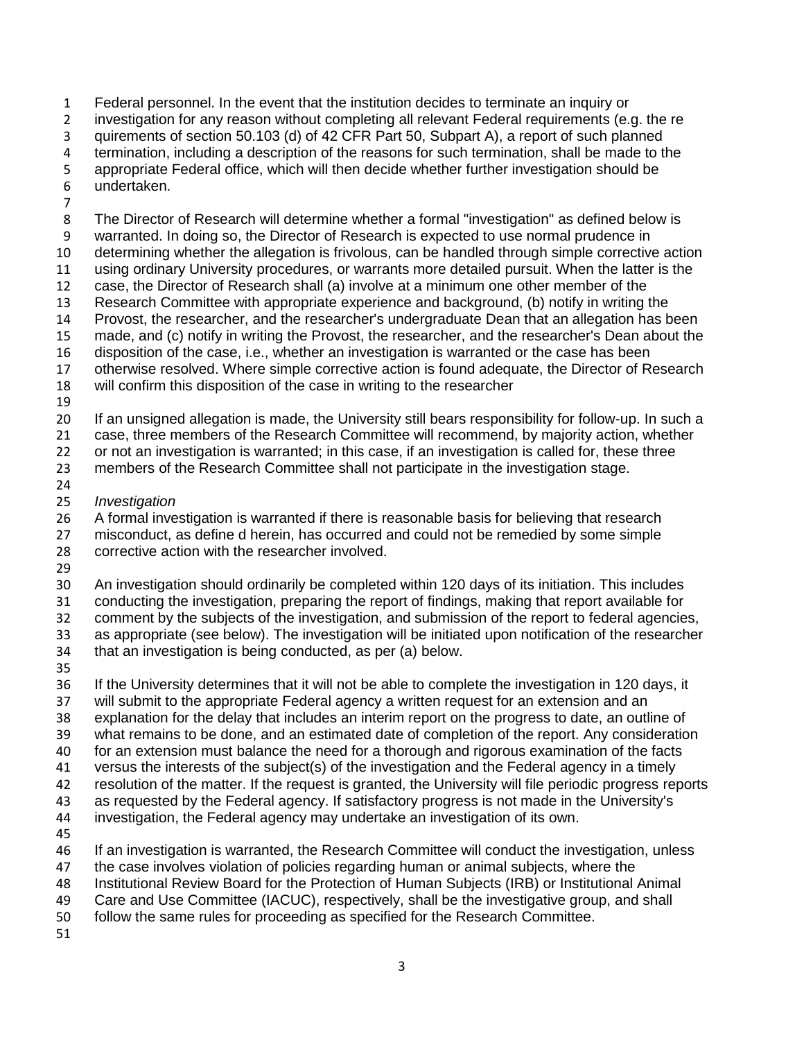Federal personnel. In the event that the institution decides to terminate an inquiry or

investigation for any reason without completing all relevant Federal requirements (e.g. the re

quirements of section 50.103 (d) of 42 CFR Part 50, Subpart A), a report of such planned

termination, including a description of the reasons for such termination, shall be made to the

 appropriate Federal office, which will then decide whether further investigation should be undertaken.

 The Director of Research will determine whether a formal "investigation" as defined below is warranted. In doing so, the Director of Research is expected to use normal prudence in determining whether the allegation is frivolous, can be handled through simple corrective action using ordinary University procedures, or warrants more detailed pursuit. When the latter is the case, the Director of Research shall (a) involve at a minimum one other member of the Research Committee with appropriate experience and background, (b) notify in writing the Provost, the researcher, and the researcher's undergraduate Dean that an allegation has been made, and (c) notify in writing the Provost, the researcher, and the researcher's Dean about the disposition of the case, i.e., whether an investigation is warranted or the case has been otherwise resolved. Where simple corrective action is found adequate, the Director of Research will confirm this disposition of the case in writing to the researcher If an unsigned allegation is made, the University still bears responsibility for follow-up. In such a case, three members of the Research Committee will recommend, by majority action, whether or not an investigation is warranted; in this case, if an investigation is called for, these three members of the Research Committee shall not participate in the investigation stage. *Investigation* A formal investigation is warranted if there is reasonable basis for believing that research misconduct, as define d herein, has occurred and could not be remedied by some simple corrective action with the researcher involved. An investigation should ordinarily be completed within 120 days of its initiation. This includes conducting the investigation, preparing the report of findings, making that report available for comment by the subjects of the investigation, and submission of the report to federal agencies, as appropriate (see below). The investigation will be initiated upon notification of the researcher that an investigation is being conducted, as per (a) below. If the University determines that it will not be able to complete the investigation in 120 days, it will submit to the appropriate Federal agency a written request for an extension and an explanation for the delay that includes an interim report on the progress to date, an outline of what remains to be done, and an estimated date of completion of the report. Any consideration for an extension must balance the need for a thorough and rigorous examination of the facts versus the interests of the subject(s) of the investigation and the Federal agency in a timely

resolution of the matter. If the request is granted, the University will file periodic progress reports

as requested by the Federal agency. If satisfactory progress is not made in the University's

investigation, the Federal agency may undertake an investigation of its own.

If an investigation is warranted, the Research Committee will conduct the investigation, unless

the case involves violation of policies regarding human or animal subjects, where the

Institutional Review Board for the Protection of Human Subjects (IRB) or Institutional Animal

Care and Use Committee (IACUC), respectively, shall be the investigative group, and shall

follow the same rules for proceeding as specified for the Research Committee.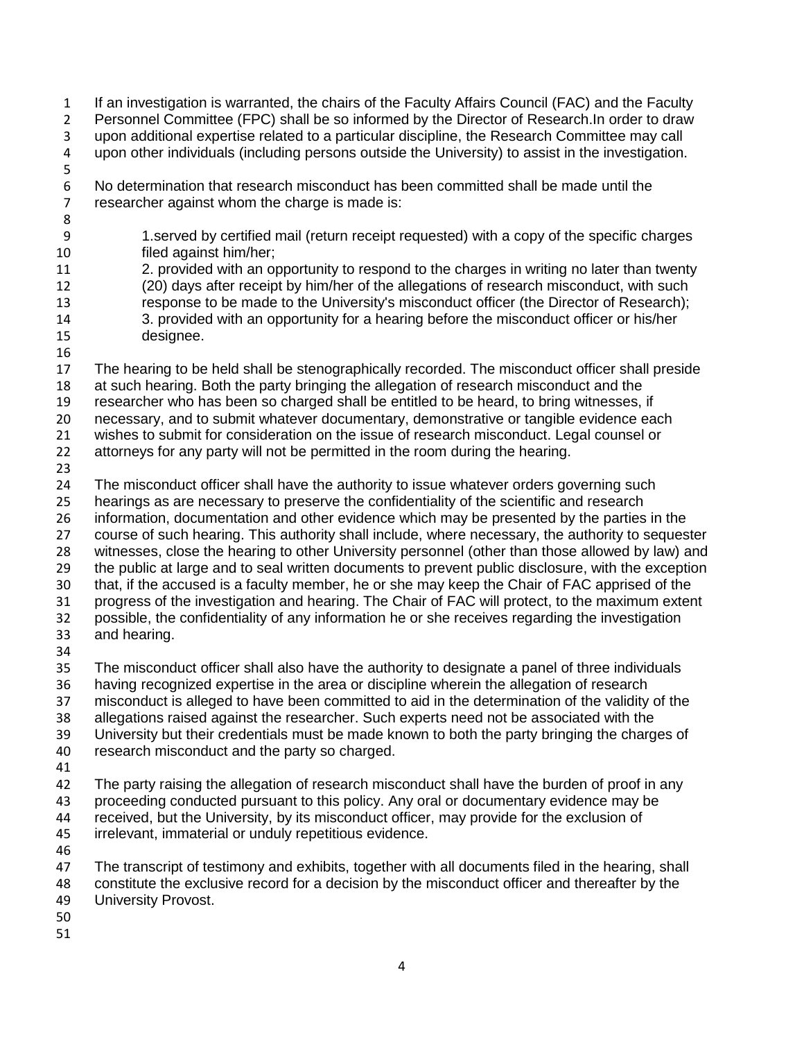If an investigation is warranted, the chairs of the Faculty Affairs Council (FAC) and the Faculty Personnel Committee (FPC) shall be so informed by the Director of Research.In order to draw upon additional expertise related to a particular discipline, the Research Committee may call upon other individuals (including persons outside the University) to assist in the investigation.

- No determination that research misconduct has been committed shall be made until the researcher against whom the charge is made is:
- 

- 1.served by certified mail (return receipt requested) with a copy of the specific charges filed against him/her;
- 2. provided with an opportunity to respond to the charges in writing no later than twenty (20) days after receipt by him/her of the allegations of research misconduct, with such response to be made to the University's misconduct officer (the Director of Research); 3. provided with an opportunity for a hearing before the misconduct officer or his/her
- designee.
- 17 The hearing to be held shall be stenographically recorded. The misconduct officer shall preside at such hearing. Both the party bringing the allegation of research misconduct and the researcher who has been so charged shall be entitled to be heard, to bring witnesses, if necessary, and to submit whatever documentary, demonstrative or tangible evidence each
- wishes to submit for consideration on the issue of research misconduct. Legal counsel or
- attorneys for any party will not be permitted in the room during the hearing.
- 

 The misconduct officer shall have the authority to issue whatever orders governing such hearings as are necessary to preserve the confidentiality of the scientific and research information, documentation and other evidence which may be presented by the parties in the course of such hearing. This authority shall include, where necessary, the authority to sequester witnesses, close the hearing to other University personnel (other than those allowed by law) and the public at large and to seal written documents to prevent public disclosure, with the exception that, if the accused is a faculty member, he or she may keep the Chair of FAC apprised of the progress of the investigation and hearing. The Chair of FAC will protect, to the maximum extent possible, the confidentiality of any information he or she receives regarding the investigation and hearing. 

- The misconduct officer shall also have the authority to designate a panel of three individuals having recognized expertise in the area or discipline wherein the allegation of research misconduct is alleged to have been committed to aid in the determination of the validity of the allegations raised against the researcher. Such experts need not be associated with the 39 University but their credentials must be made known to both the party bringing the charges of 40 research misconduct and the party so charged. research misconduct and the party so charged. The party raising the allegation of research misconduct shall have the burden of proof in any proceeding conducted pursuant to this policy. Any oral or documentary evidence may be
- received, but the University, by its misconduct officer, may provide for the exclusion of irrelevant, immaterial or unduly repetitious evidence.
- 

47 The transcript of testimony and exhibits, together with all documents filed in the hearing, shall constitute the exclusive record for a decision by the misconduct officer and thereafter by the

- University Provost.
- 
-